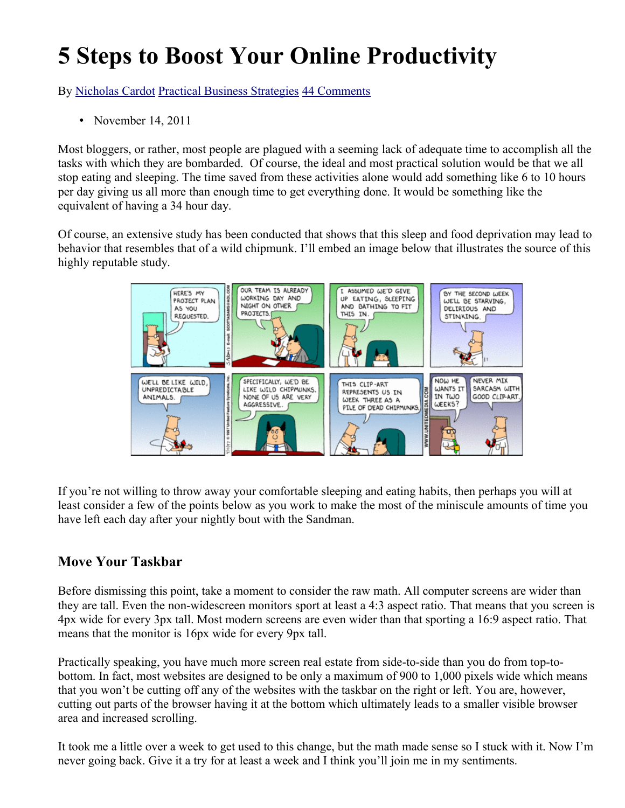# **5 Steps to Boost Your Online Productivity**

By [Nicholas Cardot](http://www.sitesketch101.com/author/holas84/) [Practical Business Strategies](http://www.sitesketch101.com/awesome-content/practical-business-strategies/) [44 Comments](http://www.sitesketch101.com/boost-your-online-productivity/#comments)

• November 14, 2011

Most bloggers, or rather, most people are plagued with a seeming lack of adequate time to accomplish all the tasks with which they are bombarded. Of course, the ideal and most practical solution would be that we all stop eating and sleeping. The time saved from these activities alone would add something like 6 to 10 hours per day giving us all more than enough time to get everything done. It would be something like the equivalent of having a 34 hour day.

Of course, an extensive study has been conducted that shows that this sleep and food deprivation may lead to behavior that resembles that of a wild chipmunk. I'll embed an image below that illustrates the source of this highly reputable study.



If you're not willing to throw away your comfortable sleeping and eating habits, then perhaps you will at least consider a few of the points below as you work to make the most of the miniscule amounts of time you have left each day after your nightly bout with the Sandman.

## **Move Your Taskbar**

Before dismissing this point, take a moment to consider the raw math. All computer screens are wider than they are tall. Even the non-widescreen monitors sport at least a 4:3 aspect ratio. That means that you screen is 4px wide for every 3px tall. Most modern screens are even wider than that sporting a 16:9 aspect ratio. That means that the monitor is 16px wide for every 9px tall.

Practically speaking, you have much more screen real estate from side-to-side than you do from top-tobottom. In fact, most websites are designed to be only a maximum of 900 to 1,000 pixels wide which means that you won't be cutting off any of the websites with the taskbar on the right or left. You are, however, cutting out parts of the browser having it at the bottom which ultimately leads to a smaller visible browser area and increased scrolling.

It took me a little over a week to get used to this change, but the math made sense so I stuck with it. Now I'm never going back. Give it a try for at least a week and I think you'll join me in my sentiments.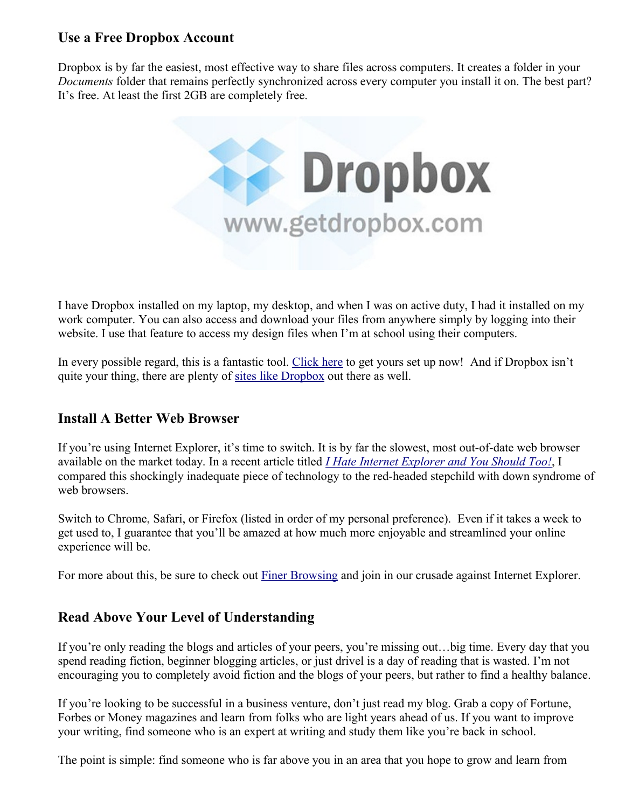## **Use a Free Dropbox Account**

Dropbox is by far the easiest, most effective way to share files across computers. It creates a folder in your *Documents* folder that remains perfectly synchronized across every computer you install it on. The best part? It's free. At least the first 2GB are completely free.



I have Dropbox installed on my laptop, my desktop, and when I was on active duty, I had it installed on my work computer. You can also access and download your files from anywhere simply by logging into their website. I use that feature to access my design files when I'm at school using their computers.

In every possible regard, this is a fantastic tool. [Click here](http://www.sitesketch101.com/dropbox) to get yours set up now! And if Dropbox isn't quite your thing, there are plenty of [sites like Dropbox](http://www.yousendit.com/solutions/dropbox) out there as well.

## **Install A Better Web Browser**

If you're using Internet Explorer, it's time to switch. It is by far the slowest, most out-of-date web browser available on the market today. In a recent article titled *[I Hate Internet Explorer and You Should Too!](http://www.sitesketch101.com/i-hate-internet-explorer/)*, I compared this shockingly inadequate piece of technology to the red-headed stepchild with down syndrome of web browsers.

Switch to Chrome, Safari, or Firefox (listed in order of my personal preference). Even if it takes a week to get used to, I guarantee that you'll be amazed at how much more enjoyable and streamlined your online experience will be.

For more about this, be sure to check out [Finer Browsing](http://finerbrowsing.com/) and join in our crusade against Internet Explorer.

## **Read Above Your Level of Understanding**

If you're only reading the blogs and articles of your peers, you're missing out…big time. Every day that you spend reading fiction, beginner blogging articles, or just drivel is a day of reading that is wasted. I'm not encouraging you to completely avoid fiction and the blogs of your peers, but rather to find a healthy balance.

If you're looking to be successful in a business venture, don't just read my blog. Grab a copy of Fortune, Forbes or Money magazines and learn from folks who are light years ahead of us. If you want to improve your writing, find someone who is an expert at writing and study them like you're back in school.

The point is simple: find someone who is far above you in an area that you hope to grow and learn from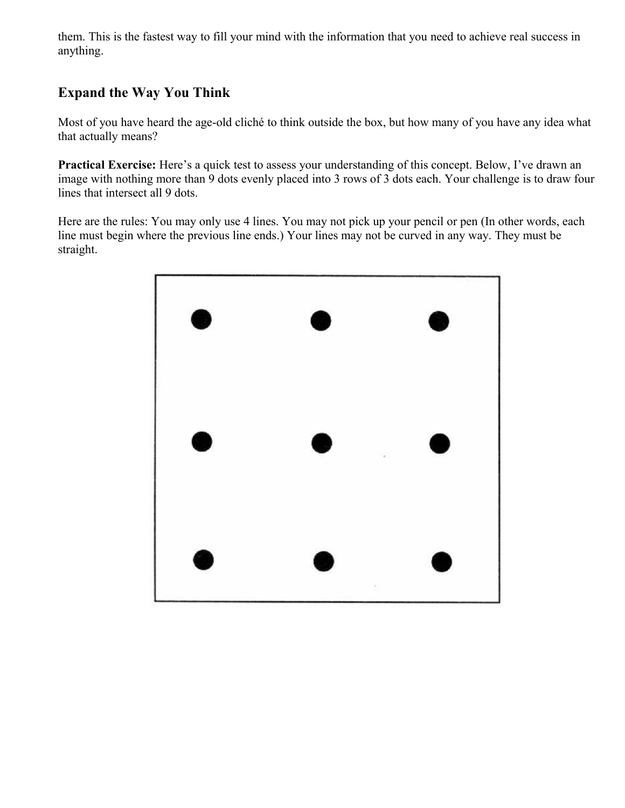them. This is the fastest way to fill your mind with the information that you need to achieve real success in anything.

# **Expand the Way You Think**

Most of you have heard the age-old cliché to think outside the box, but how many of you have any idea what that actually means?

**Practical Exercise:** Here's a quick test to assess your understanding of this concept. Below, I've drawn an image with nothing more than 9 dots evenly placed into 3 rows of 3 dots each. Your challenge is to draw four lines that intersect all 9 dots.

Here are the rules: You may only use 4 lines. You may not pick up your pencil or pen (In other words, each line must begin where the previous line ends.) Your lines may not be curved in any way. They must be straight.

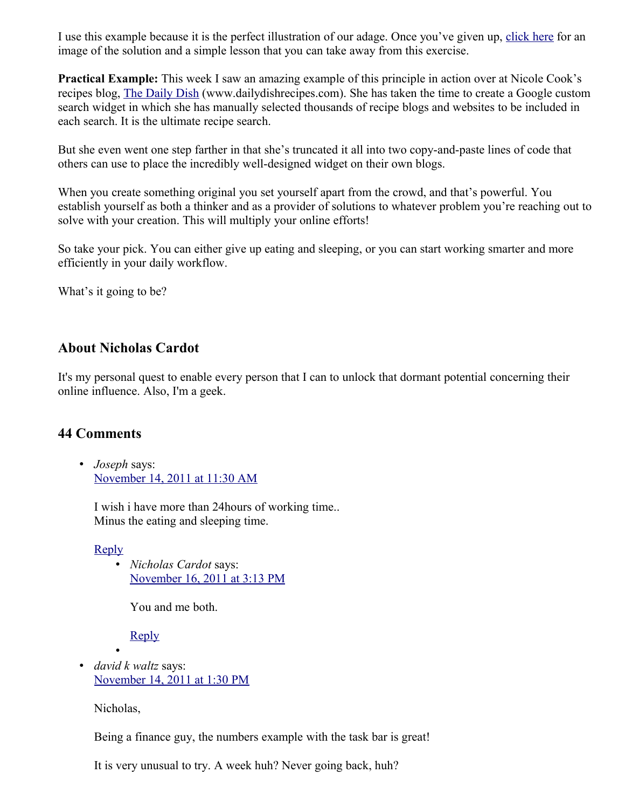I use this example because it is the perfect illustration of our adage. Once you've given up, [click here](http://www.sitesketch101.com/wp-content/uploads/9-dot-solution.jpg) for an image of the solution and a simple lesson that you can take away from this exercise.

**Practical Example:** This week I saw an amazing example of this principle in action over at Nicole Cook's recipes blog, [The Daily Dish](http://dailydishrecipes.com/) (www.dailydishrecipes.com). She has taken the time to create a Google custom search widget in which she has manually selected thousands of recipe blogs and websites to be included in each search. It is the ultimate recipe search.

But she even went one step farther in that she's truncated it all into two copy-and-paste lines of code that others can use to place the incredibly well-designed widget on their own blogs.

When you create something original you set yourself apart from the crowd, and that's powerful. You establish yourself as both a thinker and as a provider of solutions to whatever problem you're reaching out to solve with your creation. This will multiply your online efforts!

So take your pick. You can either give up eating and sleeping, or you can start working smarter and more efficiently in your daily workflow.

What's it going to be?

#### **About Nicholas Cardot**

It's my personal quest to enable every person that I can to unlock that dormant potential concerning their online influence. Also, I'm a geek.

## **44 Comments**

• *Joseph* says: [November 14, 2011 at 11:30 AM](http://www.sitesketch101.com/boost-your-online-productivity/#comment-44880)

I wish i have more than 24hours of working time.. Minus the eating and sleeping time.

[Reply](http://www.sitesketch101.com/boost-your-online-productivity/?replytocom=44880#respond)

• *Nicholas Cardot* says: [November 16, 2011 at 3:13 PM](http://www.sitesketch101.com/boost-your-online-productivity/#comment-44928)

You and me both.

[Reply](http://www.sitesketch101.com/boost-your-online-productivity/?replytocom=44928#respond)

• • *david k waltz* says: [November 14, 2011 at 1:30 PM](http://www.sitesketch101.com/boost-your-online-productivity/#comment-44882)

Nicholas,

Being a finance guy, the numbers example with the task bar is great!

It is very unusual to try. A week huh? Never going back, huh?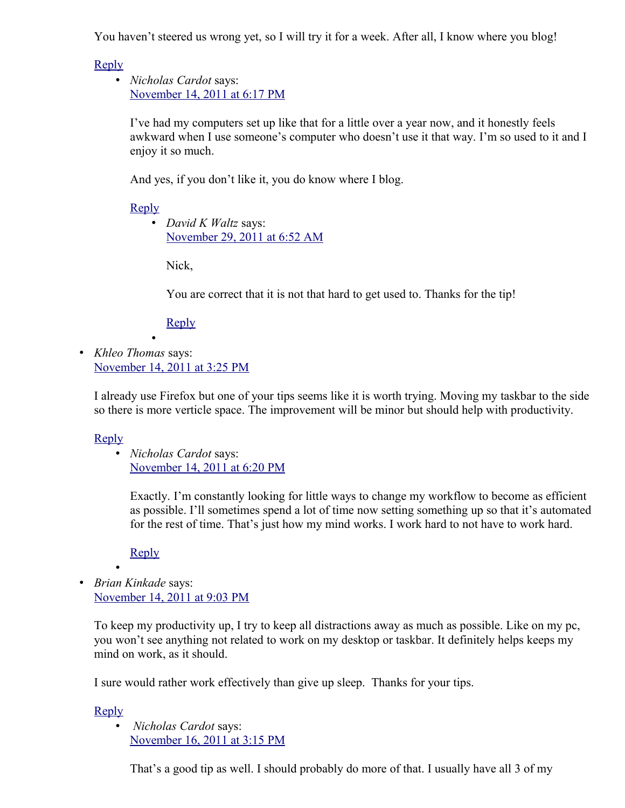You haven't steered us wrong yet, so I will try it for a week. After all, I know where you blog!

[Reply](http://www.sitesketch101.com/boost-your-online-productivity/?replytocom=44882#respond)

• *Nicholas Cardot* says: [November 14, 2011 at 6:17 PM](http://www.sitesketch101.com/boost-your-online-productivity/#comment-44886)

I've had my computers set up like that for a little over a year now, and it honestly feels awkward when I use someone's computer who doesn't use it that way. I'm so used to it and I enjoy it so much.

And yes, if you don't like it, you do know where I blog.

[Reply](http://www.sitesketch101.com/boost-your-online-productivity/?replytocom=44886#respond)

• *David K Waltz* says: [November 29, 2011 at 6:52 AM](http://www.sitesketch101.com/boost-your-online-productivity/#comment-45048)

Nick,

You are correct that it is not that hard to get used to. Thanks for the tip!

**[Reply](http://www.sitesketch101.com/boost-your-online-productivity/?replytocom=45048#respond)** 

• *Khleo Thomas* says: [November 14, 2011 at 3:25 PM](http://www.sitesketch101.com/boost-your-online-productivity/#comment-44884)

•

I already use Firefox but one of your tips seems like it is worth trying. Moving my taskbar to the side so there is more verticle space. The improvement will be minor but should help with productivity.

## [Reply](http://www.sitesketch101.com/boost-your-online-productivity/?replytocom=44884#respond)

• *Nicholas Cardot* says: [November 14, 2011 at 6:20 PM](http://www.sitesketch101.com/boost-your-online-productivity/#comment-44887)

Exactly. I'm constantly looking for little ways to change my workflow to become as efficient as possible. I'll sometimes spend a lot of time now setting something up so that it's automated for the rest of time. That's just how my mind works. I work hard to not have to work hard.

**[Reply](http://www.sitesketch101.com/boost-your-online-productivity/?replytocom=44887#respond)** 

• • *Brian Kinkade* says: [November 14, 2011 at 9:03 PM](http://www.sitesketch101.com/boost-your-online-productivity/#comment-44890)

To keep my productivity up, I try to keep all distractions away as much as possible. Like on my pc, you won't see anything not related to work on my desktop or taskbar. It definitely helps keeps my mind on work, as it should.

I sure would rather work effectively than give up sleep. Thanks for your tips.

[Reply](http://www.sitesketch101.com/boost-your-online-productivity/?replytocom=44890#respond)

• *Nicholas Cardot* says: [November 16, 2011 at 3:15 PM](http://www.sitesketch101.com/boost-your-online-productivity/#comment-44929)

That's a good tip as well. I should probably do more of that. I usually have all 3 of my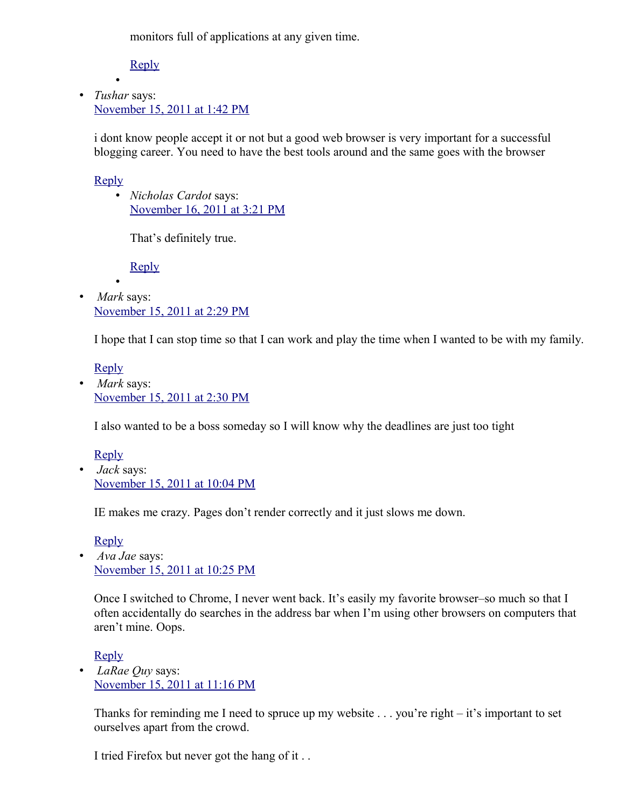monitors full of applications at any given time.

[Reply](http://www.sitesketch101.com/boost-your-online-productivity/?replytocom=44929#respond)

• • *Tushar* says: [November 15, 2011 at 1:42 PM](http://www.sitesketch101.com/boost-your-online-productivity/#comment-44904)

i dont know people accept it or not but a good web browser is very important for a successful blogging career. You need to have the best tools around and the same goes with the browser

### [Reply](http://www.sitesketch101.com/boost-your-online-productivity/?replytocom=44904#respond)

• *Nicholas Cardot* says: [November 16, 2011 at 3:21 PM](http://www.sitesketch101.com/boost-your-online-productivity/#comment-44930)

That's definitely true.

[Reply](http://www.sitesketch101.com/boost-your-online-productivity/?replytocom=44930#respond)

• • *Mark* says: [November 15, 2011 at 2:29 PM](http://www.sitesketch101.com/boost-your-online-productivity/#comment-44905)

I hope that I can stop time so that I can work and play the time when I wanted to be with my family.

[Reply](http://www.sitesketch101.com/boost-your-online-productivity/?replytocom=44905#respond)

• *Mark* says: [November 15, 2011 at 2:30 PM](http://www.sitesketch101.com/boost-your-online-productivity/#comment-44906)

I also wanted to be a boss someday so I will know why the deadlines are just too tight

[Reply](http://www.sitesketch101.com/boost-your-online-productivity/?replytocom=44906#respond) • *Jack* says: [November 15, 2011 at 10:04 PM](http://www.sitesketch101.com/boost-your-online-productivity/#comment-44911)

IE makes me crazy. Pages don't render correctly and it just slows me down.

[Reply](http://www.sitesketch101.com/boost-your-online-productivity/?replytocom=44911#respond)

• *Ava Jae* says: [November 15, 2011 at 10:25 PM](http://www.sitesketch101.com/boost-your-online-productivity/#comment-44913)

Once I switched to Chrome, I never went back. It's easily my favorite browser–so much so that I often accidentally do searches in the address bar when I'm using other browsers on computers that aren't mine. Oops.

[Reply](http://www.sitesketch101.com/boost-your-online-productivity/?replytocom=44913#respond)

• *LaRae Quy* says: [November 15, 2011 at 11:16 PM](http://www.sitesketch101.com/boost-your-online-productivity/#comment-44915)

Thanks for reminding me I need to spruce up my website . . . you're right – it's important to set ourselves apart from the crowd.

I tried Firefox but never got the hang of it . .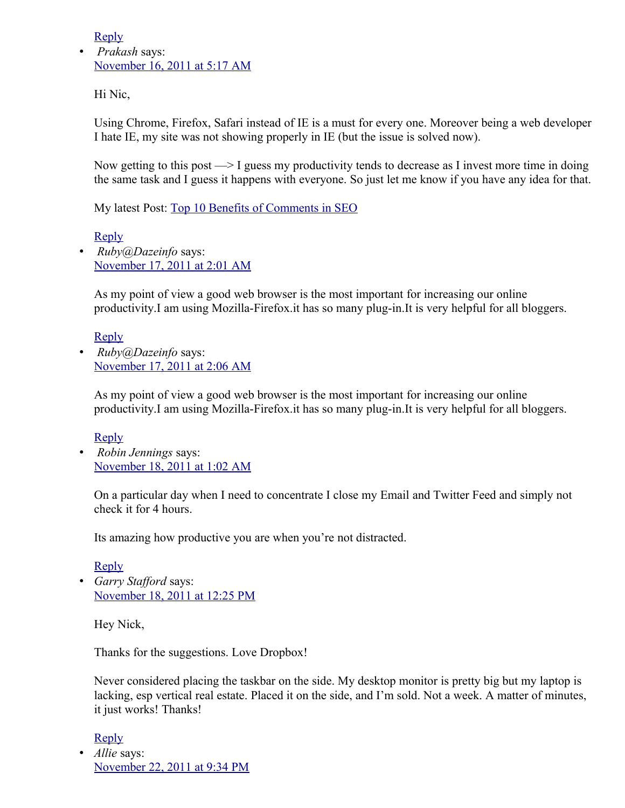[Reply](http://www.sitesketch101.com/boost-your-online-productivity/?replytocom=44915#respond)

• *Prakash* says: [November 16, 2011 at 5:17 AM](http://www.sitesketch101.com/boost-your-online-productivity/#comment-44922)

Hi Nic,

Using Chrome, Firefox, Safari instead of IE is a must for every one. Moreover being a web developer I hate IE, my site was not showing properly in IE (but the issue is solved now).

Now getting to this post  $\rightarrow$  I guess my productivity tends to decrease as I invest more time in doing the same task and I guess it happens with everyone. So just let me know if you have any idea for that.

My latest Post: [Top 10 Benefits of Comments in SEO](http://www.seohunting.com/seo-tips/top-10-benefits-of-comments-in-seo/)

[Reply](http://www.sitesketch101.com/boost-your-online-productivity/?replytocom=44922#respond)

• *Ruby@Dazeinfo* says: [November 17, 2011 at 2:01 AM](http://www.sitesketch101.com/boost-your-online-productivity/#comment-44939)

As my point of view a good web browser is the most important for increasing our online productivity.I am using Mozilla-Firefox.it has so many plug-in.It is very helpful for all bloggers.

[Reply](http://www.sitesketch101.com/boost-your-online-productivity/?replytocom=44939#respond)

• *Ruby@Dazeinfo* says: [November 17, 2011 at 2:06 AM](http://www.sitesketch101.com/boost-your-online-productivity/#comment-44940)

As my point of view a good web browser is the most important for increasing our online productivity.I am using Mozilla-Firefox.it has so many plug-in.It is very helpful for all bloggers.

[Reply](http://www.sitesketch101.com/boost-your-online-productivity/?replytocom=44940#respond)

• *Robin Jennings* says: [November 18, 2011 at 1:02 AM](http://www.sitesketch101.com/boost-your-online-productivity/#comment-44956)

On a particular day when I need to concentrate I close my Email and Twitter Feed and simply not check it for 4 hours.

Its amazing how productive you are when you're not distracted.

[Reply](http://www.sitesketch101.com/boost-your-online-productivity/?replytocom=44956#respond) • *Garry Stafford* says: [November 18, 2011 at 12:25 PM](http://www.sitesketch101.com/boost-your-online-productivity/#comment-44959)

Hey Nick,

Thanks for the suggestions. Love Dropbox!

Never considered placing the taskbar on the side. My desktop monitor is pretty big but my laptop is lacking, esp vertical real estate. Placed it on the side, and I'm sold. Not a week. A matter of minutes, it just works! Thanks!

[Reply](http://www.sitesketch101.com/boost-your-online-productivity/?replytocom=44959#respond) • *Allie* says: [November 22, 2011 at 9:34 PM](http://www.sitesketch101.com/boost-your-online-productivity/#comment-45008)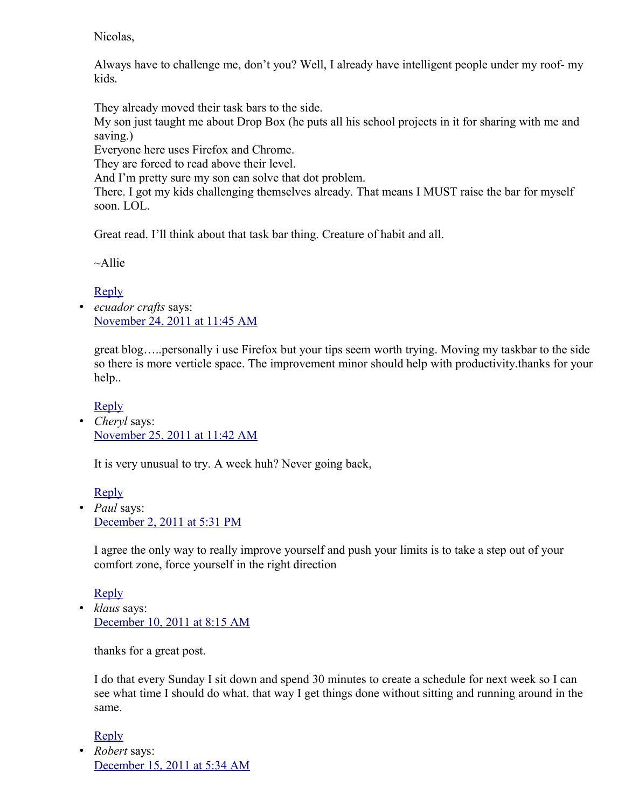Nicolas,

Always have to challenge me, don't you? Well, I already have intelligent people under my roof- my kids.

They already moved their task bars to the side.

My son just taught me about Drop Box (he puts all his school projects in it for sharing with me and saving.)

Everyone here uses Firefox and Chrome.

They are forced to read above their level.

And I'm pretty sure my son can solve that dot problem.

There. I got my kids challenging themselves already. That means I MUST raise the bar for myself soon. LOL.

Great read. I'll think about that task bar thing. Creature of habit and all.

 $~\sim$ Allie

[Reply](http://www.sitesketch101.com/boost-your-online-productivity/?replytocom=45008#respond)

• *ecuador crafts* says: [November 24, 2011 at 11:45 AM](http://www.sitesketch101.com/boost-your-online-productivity/#comment-45019)

great blog…..personally i use Firefox but your tips seem worth trying. Moving my taskbar to the side so there is more verticle space. The improvement minor should help with productivity.thanks for your help..

[Reply](http://www.sitesketch101.com/boost-your-online-productivity/?replytocom=45019#respond)

• *Cheryl* says: [November 25, 2011 at 11:42 AM](http://www.sitesketch101.com/boost-your-online-productivity/#comment-45025)

It is very unusual to try. A week huh? Never going back,

[Reply](http://www.sitesketch101.com/boost-your-online-productivity/?replytocom=45025#respond) • *Paul* says: [December 2, 2011 at 5:31 PM](http://www.sitesketch101.com/boost-your-online-productivity/#comment-45076)

I agree the only way to really improve yourself and push your limits is to take a step out of your comfort zone, force yourself in the right direction

[Reply](http://www.sitesketch101.com/boost-your-online-productivity/?replytocom=45076#respond)

• *klaus* says: [December 10, 2011 at 8:15 AM](http://www.sitesketch101.com/boost-your-online-productivity/#comment-45119)

thanks for a great post.

I do that every Sunday I sit down and spend 30 minutes to create a schedule for next week so I can see what time I should do what. that way I get things done without sitting and running around in the same.

[Reply](http://www.sitesketch101.com/boost-your-online-productivity/?replytocom=45119#respond)

• *Robert* says: [December 15, 2011 at 5:34 AM](http://www.sitesketch101.com/boost-your-online-productivity/#comment-45148)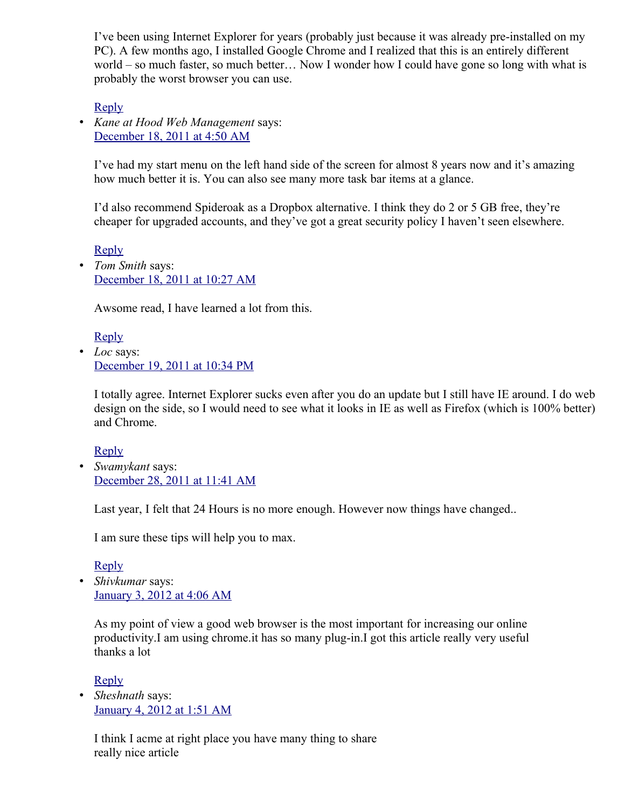I've been using Internet Explorer for years (probably just because it was already pre-installed on my PC). A few months ago, I installed Google Chrome and I realized that this is an entirely different world – so much faster, so much better… Now I wonder how I could have gone so long with what is probably the worst browser you can use.

[Reply](http://www.sitesketch101.com/boost-your-online-productivity/?replytocom=45148#respond)

• *Kane at Hood Web Management* says: [December 18, 2011 at 4:50 AM](http://www.sitesketch101.com/boost-your-online-productivity/#comment-45175)

I've had my start menu on the left hand side of the screen for almost 8 years now and it's amazing how much better it is. You can also see many more task bar items at a glance.

I'd also recommend Spideroak as a Dropbox alternative. I think they do 2 or 5 GB free, they're cheaper for upgraded accounts, and they've got a great security policy I haven't seen elsewhere.

[Reply](http://www.sitesketch101.com/boost-your-online-productivity/?replytocom=45175#respond) • *Tom Smith* says: [December 18, 2011 at 10:27 AM](http://www.sitesketch101.com/boost-your-online-productivity/#comment-45177)

Awsome read, I have learned a lot from this.

[Reply](http://www.sitesketch101.com/boost-your-online-productivity/?replytocom=45177#respond) • *Loc* says: [December 19, 2011 at 10:34 PM](http://www.sitesketch101.com/boost-your-online-productivity/#comment-45184)

I totally agree. Internet Explorer sucks even after you do an update but I still have IE around. I do web design on the side, so I would need to see what it looks in IE as well as Firefox (which is 100% better) and Chrome.

[Reply](http://www.sitesketch101.com/boost-your-online-productivity/?replytocom=45184#respond) • *Swamykant* says: [December 28, 2011 at 11:41 AM](http://www.sitesketch101.com/boost-your-online-productivity/#comment-45220)

Last year, I felt that 24 Hours is no more enough. However now things have changed..

I am sure these tips will help you to max.

[Reply](http://www.sitesketch101.com/boost-your-online-productivity/?replytocom=45220#respond)

• *Shivkumar* says: [January 3, 2012 at 4:06 AM](http://www.sitesketch101.com/boost-your-online-productivity/#comment-45234)

As my point of view a good web browser is the most important for increasing our online productivity.I am using chrome.it has so many plug-in.I got this article really very useful thanks a lot

[Reply](http://www.sitesketch101.com/boost-your-online-productivity/?replytocom=45234#respond)

• *Sheshnath* says: [January 4, 2012 at 1:51 AM](http://www.sitesketch101.com/boost-your-online-productivity/#comment-45237)

I think I acme at right place you have many thing to share really nice article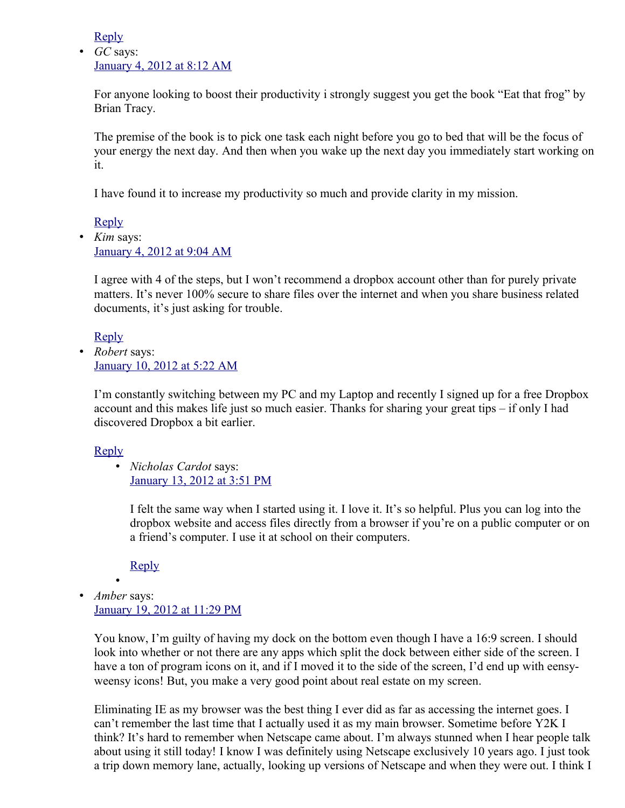[Reply](http://www.sitesketch101.com/boost-your-online-productivity/?replytocom=45237#respond)

• *GC* says: [January 4, 2012 at 8:12 AM](http://www.sitesketch101.com/boost-your-online-productivity/#comment-45241)

For anyone looking to boost their productivity i strongly suggest you get the book "Eat that frog" by Brian Tracy.

The premise of the book is to pick one task each night before you go to bed that will be the focus of your energy the next day. And then when you wake up the next day you immediately start working on it.

I have found it to increase my productivity so much and provide clarity in my mission.

[Reply](http://www.sitesketch101.com/boost-your-online-productivity/?replytocom=45241#respond)

• *Kim* says: [January 4, 2012 at 9:04 AM](http://www.sitesketch101.com/boost-your-online-productivity/#comment-45242)

I agree with 4 of the steps, but I won't recommend a dropbox account other than for purely private matters. It's never 100% secure to share files over the internet and when you share business related documents, it's just asking for trouble.

[Reply](http://www.sitesketch101.com/boost-your-online-productivity/?replytocom=45242#respond)

• *Robert* says: [January 10, 2012 at 5:22 AM](http://www.sitesketch101.com/boost-your-online-productivity/#comment-45276)

I'm constantly switching between my PC and my Laptop and recently I signed up for a free Dropbox account and this makes life just so much easier. Thanks for sharing your great tips – if only I had discovered Dropbox a bit earlier.

#### [Reply](http://www.sitesketch101.com/boost-your-online-productivity/?replytocom=45276#respond)

• *Nicholas Cardot* says: [January 13, 2012 at 3:51 PM](http://www.sitesketch101.com/boost-your-online-productivity/#comment-45298)

I felt the same way when I started using it. I love it. It's so helpful. Plus you can log into the dropbox website and access files directly from a browser if you're on a public computer or on a friend's computer. I use it at school on their computers.

[Reply](http://www.sitesketch101.com/boost-your-online-productivity/?replytocom=45298#respond)

•

• *Amber* says: [January 19, 2012 at 11:29 PM](http://www.sitesketch101.com/boost-your-online-productivity/#comment-45331)

You know, I'm guilty of having my dock on the bottom even though I have a 16:9 screen. I should look into whether or not there are any apps which split the dock between either side of the screen. I have a ton of program icons on it, and if I moved it to the side of the screen, I'd end up with eensyweensy icons! But, you make a very good point about real estate on my screen.

Eliminating IE as my browser was the best thing I ever did as far as accessing the internet goes. I can't remember the last time that I actually used it as my main browser. Sometime before Y2K I think? It's hard to remember when Netscape came about. I'm always stunned when I hear people talk about using it still today! I know I was definitely using Netscape exclusively 10 years ago. I just took a trip down memory lane, actually, looking up versions of Netscape and when they were out. I think I